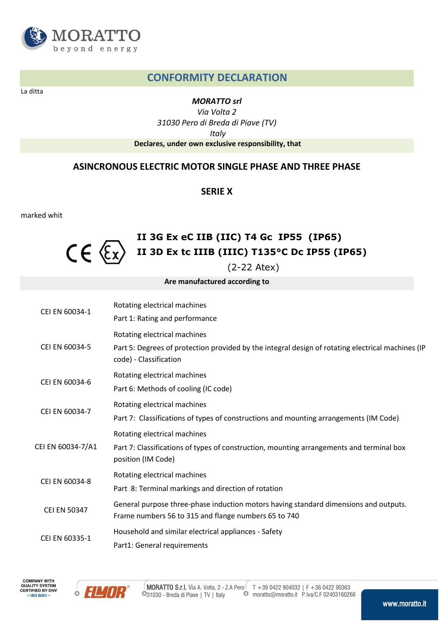

# **CONFORMITY DECLARATION**

La ditta

#### *MORATTO srl*

*Via Volta 2 31030 Pero di Breda di Piave (TV) Italy*  **Declares, under own exclusive responsibility, that** 

## **ASINCRONOUS ELECTRIC MOTOR SINGLE PHASE AND THREE PHASE**

#### **SERIE X**

marked whit

### **II 3G Ex eC IIB (IIC) T4 Gc IP55 (IP65)**   $CE \n\in \mathbb{C}$ **II 3D Ex tc IIIB (IIIC) T135°C Dc IP55 (IP65)**

(2-22 Atex)

**Are manufactured according to** 

| CEI EN 60034-1      | Rotating electrical machines                                                                                                                 |
|---------------------|----------------------------------------------------------------------------------------------------------------------------------------------|
|                     | Part 1: Rating and performance                                                                                                               |
| CEI EN 60034-5      | Rotating electrical machines                                                                                                                 |
|                     | Part 5: Degrees of protection provided by the integral design of rotating electrical machines (IP<br>code) - Classification                  |
| CEI EN 60034-6      | Rotating electrical machines                                                                                                                 |
|                     | Part 6: Methods of cooling (IC code)                                                                                                         |
| CEI EN 60034-7      | Rotating electrical machines                                                                                                                 |
|                     | Part 7: Classifications of types of constructions and mounting arrangements (IM Code)                                                        |
| CEI EN 60034-7/A1   | Rotating electrical machines                                                                                                                 |
|                     | Part 7: Classifications of types of construction, mounting arrangements and terminal box<br>position (IM Code)                               |
| CEI EN 60034-8      | Rotating electrical machines                                                                                                                 |
|                     | Part 8: Terminal markings and direction of rotation                                                                                          |
| <b>CEI EN 50347</b> | General purpose three-phase induction motors having standard dimensions and outputs.<br>Frame numbers 56 to 315 and flange numbers 65 to 740 |
| CEI EN 60335-1      | Household and similar electrical appliances - Safety                                                                                         |
|                     | Part1: General requirements                                                                                                                  |